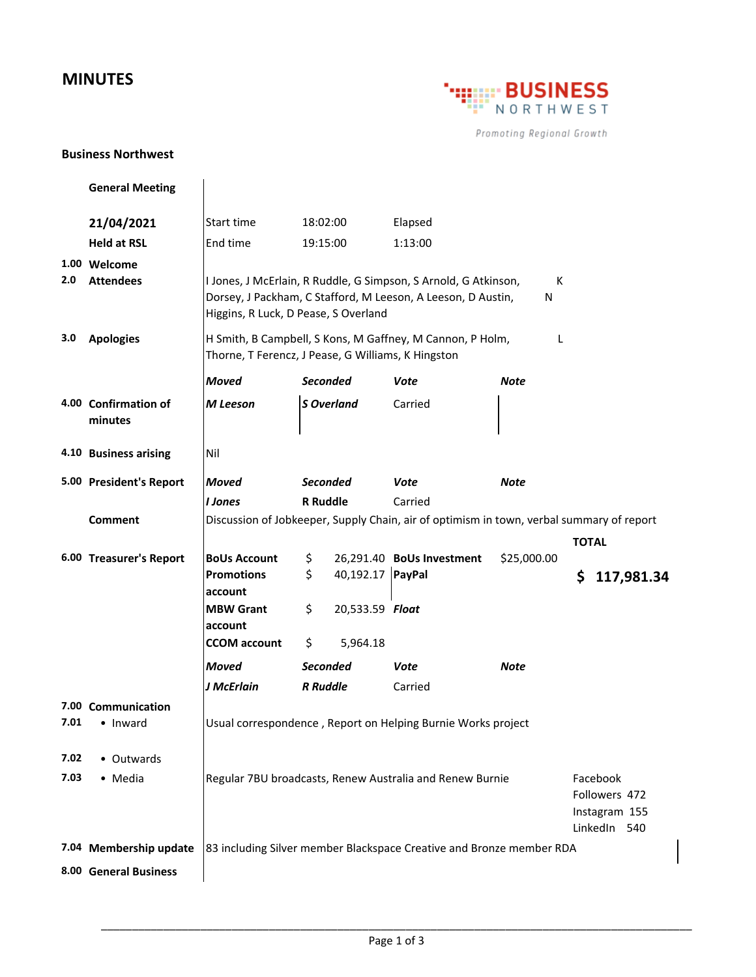## **MINUTES**



Promoting Regional Growth

## **Business Northwest**

|      | <b>General Meeting</b>           |                                                                                                                                                                                   |                        |                                                                                          |             |                  |
|------|----------------------------------|-----------------------------------------------------------------------------------------------------------------------------------------------------------------------------------|------------------------|------------------------------------------------------------------------------------------|-------------|------------------|
|      | 21/04/2021                       | Start time                                                                                                                                                                        | 18:02:00               | Elapsed                                                                                  |             |                  |
|      | <b>Held at RSL</b>               | End time                                                                                                                                                                          | 19:15:00               | 1:13:00                                                                                  |             |                  |
| 2.0  | 1.00 Welcome<br><b>Attendees</b> | I Jones, J McErlain, R Ruddle, G Simpson, S Arnold, G Atkinson,<br>К<br>Dorsey, J Packham, C Stafford, M Leeson, A Leeson, D Austin,<br>N<br>Higgins, R Luck, D Pease, S Overland |                        |                                                                                          |             |                  |
| 3.0  | <b>Apologies</b>                 | H Smith, B Campbell, S Kons, M Gaffney, M Cannon, P Holm,<br>L<br>Thorne, T Ferencz, J Pease, G Williams, K Hingston                                                              |                        |                                                                                          |             |                  |
|      |                                  | <b>Moved</b>                                                                                                                                                                      | <b>Seconded</b>        | Vote                                                                                     | Note        |                  |
|      | 4.00 Confirmation of<br>minutes  | M Leeson                                                                                                                                                                          | <b>S</b> Overland      | Carried                                                                                  |             |                  |
|      | 4.10 Business arising            | Nil                                                                                                                                                                               |                        |                                                                                          |             |                  |
|      | 5.00 President's Report          | <b>Moved</b>                                                                                                                                                                      | <b>Seconded</b>        | <b>Vote</b>                                                                              | <b>Note</b> |                  |
|      |                                  | <b>I</b> Jones                                                                                                                                                                    | <b>R</b> Ruddle        | Carried                                                                                  |             |                  |
|      | <b>Comment</b>                   |                                                                                                                                                                                   |                        | Discussion of Jobkeeper, Supply Chain, air of optimism in town, verbal summary of report |             |                  |
|      |                                  |                                                                                                                                                                                   |                        |                                                                                          |             | <b>TOTAL</b>     |
|      | 6.00 Treasurer's Report          | <b>BoUs Account</b>                                                                                                                                                               | \$                     | 26,291.40 BoUs Investment                                                                | \$25,000.00 |                  |
|      |                                  | <b>Promotions</b><br>account                                                                                                                                                      | \$<br>40,192.17 PayPal |                                                                                          |             | \$<br>117,981.34 |
|      |                                  | <b>MBW Grant</b>                                                                                                                                                                  | \$<br>20,533.59 Float  |                                                                                          |             |                  |
|      |                                  | account                                                                                                                                                                           |                        |                                                                                          |             |                  |
|      |                                  | <b>CCOM</b> account                                                                                                                                                               | \$<br>5,964.18         |                                                                                          |             |                  |
|      |                                  | <b>Moved</b>                                                                                                                                                                      | <b>Seconded</b>        | <b>Vote</b>                                                                              | Note        |                  |
|      |                                  | J McErlain                                                                                                                                                                        | <b>R</b> Ruddle        | Carried                                                                                  |             |                  |
| 7.01 | 7.00 Communication<br>• Inward   | Usual correspondence, Report on Helping Burnie Works project                                                                                                                      |                        |                                                                                          |             |                  |
| 7.02 | • Outwards                       |                                                                                                                                                                                   |                        |                                                                                          |             |                  |
| 7.03 | • Media                          | Regular 7BU broadcasts, Renew Australia and Renew Burnie<br>Facebook<br>Followers 472<br>Instagram 155<br>LinkedIn 540                                                            |                        |                                                                                          |             |                  |
|      |                                  |                                                                                                                                                                                   |                        |                                                                                          |             |                  |
|      | 7.04 Membership update           |                                                                                                                                                                                   |                        | 83 including Silver member Blackspace Creative and Bronze member RDA                     |             |                  |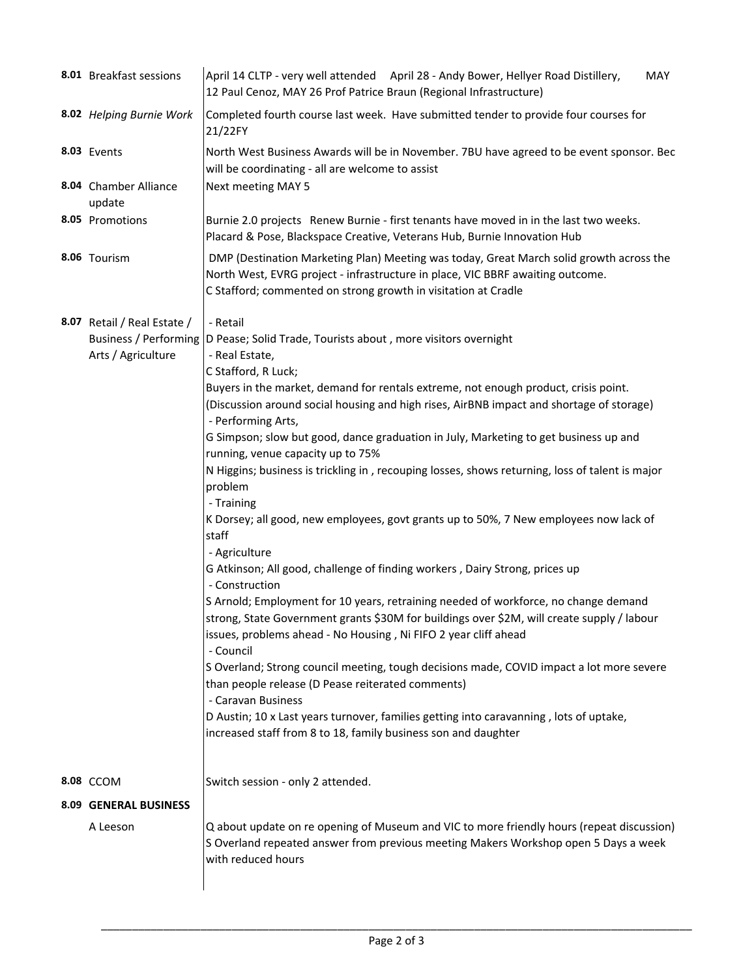| 8.01 Breakfast sessions                                                           | April 14 CLTP - very well attended April 28 - Andy Bower, Hellyer Road Distillery,<br>MAY<br>12 Paul Cenoz, MAY 26 Prof Patrice Braun (Regional Infrastructure)                                                                                                                                                                                                                                                                                                                                                                                                                                                                                                                                                                                                                                                                                                                                                                                                                                                                                                                                                                                                                                                                                                                                                                                                                                                  |  |  |  |
|-----------------------------------------------------------------------------------|------------------------------------------------------------------------------------------------------------------------------------------------------------------------------------------------------------------------------------------------------------------------------------------------------------------------------------------------------------------------------------------------------------------------------------------------------------------------------------------------------------------------------------------------------------------------------------------------------------------------------------------------------------------------------------------------------------------------------------------------------------------------------------------------------------------------------------------------------------------------------------------------------------------------------------------------------------------------------------------------------------------------------------------------------------------------------------------------------------------------------------------------------------------------------------------------------------------------------------------------------------------------------------------------------------------------------------------------------------------------------------------------------------------|--|--|--|
| 8.02 Helping Burnie Work                                                          | Completed fourth course last week. Have submitted tender to provide four courses for<br>21/22FY                                                                                                                                                                                                                                                                                                                                                                                                                                                                                                                                                                                                                                                                                                                                                                                                                                                                                                                                                                                                                                                                                                                                                                                                                                                                                                                  |  |  |  |
| 8.03 Events                                                                       | North West Business Awards will be in November. 7BU have agreed to be event sponsor. Bec<br>will be coordinating - all are welcome to assist                                                                                                                                                                                                                                                                                                                                                                                                                                                                                                                                                                                                                                                                                                                                                                                                                                                                                                                                                                                                                                                                                                                                                                                                                                                                     |  |  |  |
| 8.04 Chamber Alliance<br>update                                                   | Next meeting MAY 5                                                                                                                                                                                                                                                                                                                                                                                                                                                                                                                                                                                                                                                                                                                                                                                                                                                                                                                                                                                                                                                                                                                                                                                                                                                                                                                                                                                               |  |  |  |
| 8.05 Promotions                                                                   | Burnie 2.0 projects Renew Burnie - first tenants have moved in in the last two weeks.<br>Placard & Pose, Blackspace Creative, Veterans Hub, Burnie Innovation Hub                                                                                                                                                                                                                                                                                                                                                                                                                                                                                                                                                                                                                                                                                                                                                                                                                                                                                                                                                                                                                                                                                                                                                                                                                                                |  |  |  |
| 8.06 Tourism                                                                      | DMP (Destination Marketing Plan) Meeting was today, Great March solid growth across the<br>North West, EVRG project - infrastructure in place, VIC BBRF awaiting outcome.<br>C Stafford; commented on strong growth in visitation at Cradle                                                                                                                                                                                                                                                                                                                                                                                                                                                                                                                                                                                                                                                                                                                                                                                                                                                                                                                                                                                                                                                                                                                                                                      |  |  |  |
| 8.07 Retail / Real Estate /<br><b>Business / Performing</b><br>Arts / Agriculture | - Retail<br>D Pease; Solid Trade, Tourists about, more visitors overnight<br>- Real Estate,<br>C Stafford, R Luck;<br>Buyers in the market, demand for rentals extreme, not enough product, crisis point.<br>(Discussion around social housing and high rises, AirBNB impact and shortage of storage)<br>- Performing Arts,<br>G Simpson; slow but good, dance graduation in July, Marketing to get business up and<br>running, venue capacity up to 75%<br>N Higgins; business is trickling in, recouping losses, shows returning, loss of talent is major<br>problem<br>- Training<br>K Dorsey; all good, new employees, govt grants up to 50%, 7 New employees now lack of<br>staff<br>- Agriculture<br>G Atkinson; All good, challenge of finding workers, Dairy Strong, prices up<br>- Construction<br>S Arnold; Employment for 10 years, retraining needed of workforce, no change demand<br>strong, State Government grants \$30M for buildings over \$2M, will create supply / labour<br>issues, problems ahead - No Housing, Ni FIFO 2 year cliff ahead<br>- Council<br>S Overland; Strong council meeting, tough decisions made, COVID impact a lot more severe<br>than people release (D Pease reiterated comments)<br>- Caravan Business<br>D Austin; 10 x Last years turnover, families getting into caravanning, lots of uptake,<br>increased staff from 8 to 18, family business son and daughter |  |  |  |
| 8.08 CCOM<br>8.09 GENERAL BUSINESS                                                | Switch session - only 2 attended.                                                                                                                                                                                                                                                                                                                                                                                                                                                                                                                                                                                                                                                                                                                                                                                                                                                                                                                                                                                                                                                                                                                                                                                                                                                                                                                                                                                |  |  |  |
| A Leeson                                                                          | Q about update on re opening of Museum and VIC to more friendly hours (repeat discussion)<br>S Overland repeated answer from previous meeting Makers Workshop open 5 Days a week<br>with reduced hours                                                                                                                                                                                                                                                                                                                                                                                                                                                                                                                                                                                                                                                                                                                                                                                                                                                                                                                                                                                                                                                                                                                                                                                                           |  |  |  |